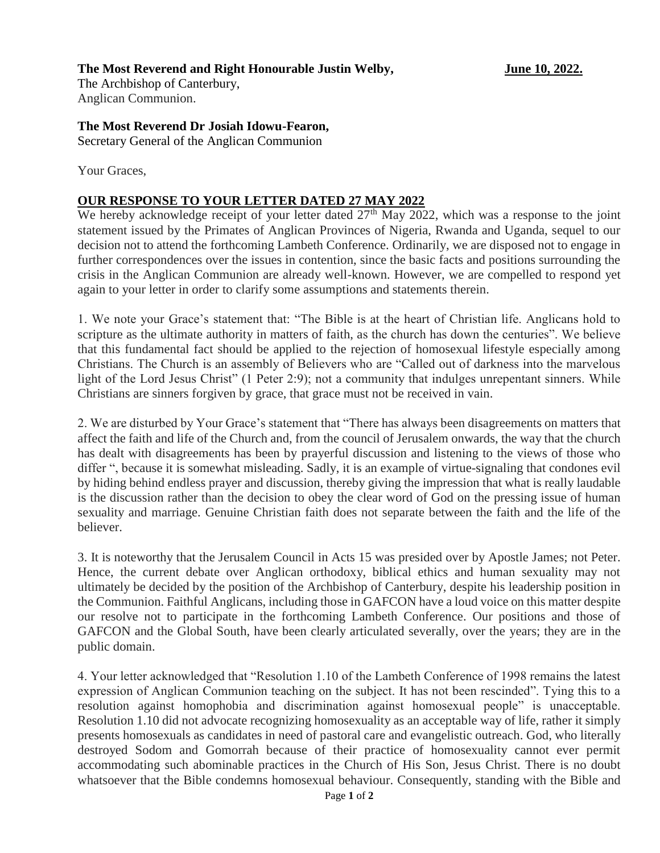## **The Most Reverend and Right Honourable Justin Welby, June 10, 2022.**

The Archbishop of Canterbury, Anglican Communion.

## **The Most Reverend Dr Josiah Idowu-Fearon,**

Secretary General of the Anglican Communion

Your Graces,

## **OUR RESPONSE TO YOUR LETTER DATED 27 MAY 2022**

We hereby acknowledge receipt of your letter dated  $27<sup>th</sup>$  May 2022, which was a response to the joint statement issued by the Primates of Anglican Provinces of Nigeria, Rwanda and Uganda, sequel to our decision not to attend the forthcoming Lambeth Conference. Ordinarily, we are disposed not to engage in further correspondences over the issues in contention, since the basic facts and positions surrounding the crisis in the Anglican Communion are already well-known. However, we are compelled to respond yet again to your letter in order to clarify some assumptions and statements therein.

1. We note your Grace's statement that: "The Bible is at the heart of Christian life. Anglicans hold to scripture as the ultimate authority in matters of faith, as the church has down the centuries". We believe that this fundamental fact should be applied to the rejection of homosexual lifestyle especially among Christians. The Church is an assembly of Believers who are "Called out of darkness into the marvelous light of the Lord Jesus Christ" (1 Peter 2:9); not a community that indulges unrepentant sinners. While Christians are sinners forgiven by grace, that grace must not be received in vain.

2. We are disturbed by Your Grace's statement that "There has always been disagreements on matters that affect the faith and life of the Church and, from the council of Jerusalem onwards, the way that the church has dealt with disagreements has been by prayerful discussion and listening to the views of those who differ ", because it is somewhat misleading. Sadly, it is an example of virtue-signaling that condones evil by hiding behind endless prayer and discussion, thereby giving the impression that what is really laudable is the discussion rather than the decision to obey the clear word of God on the pressing issue of human sexuality and marriage. Genuine Christian faith does not separate between the faith and the life of the believer.

3. It is noteworthy that the Jerusalem Council in Acts 15 was presided over by Apostle James; not Peter. Hence, the current debate over Anglican orthodoxy, biblical ethics and human sexuality may not ultimately be decided by the position of the Archbishop of Canterbury, despite his leadership position in the Communion. Faithful Anglicans, including those in GAFCON have a loud voice on this matter despite our resolve not to participate in the forthcoming Lambeth Conference. Our positions and those of GAFCON and the Global South, have been clearly articulated severally, over the years; they are in the public domain.

4. Your letter acknowledged that "Resolution 1.10 of the Lambeth Conference of 1998 remains the latest expression of Anglican Communion teaching on the subject. It has not been rescinded". Tying this to a resolution against homophobia and discrimination against homosexual people" is unacceptable. Resolution 1.10 did not advocate recognizing homosexuality as an acceptable way of life, rather it simply presents homosexuals as candidates in need of pastoral care and evangelistic outreach. God, who literally destroyed Sodom and Gomorrah because of their practice of homosexuality cannot ever permit accommodating such abominable practices in the Church of His Son, Jesus Christ. There is no doubt whatsoever that the Bible condemns homosexual behaviour. Consequently, standing with the Bible and